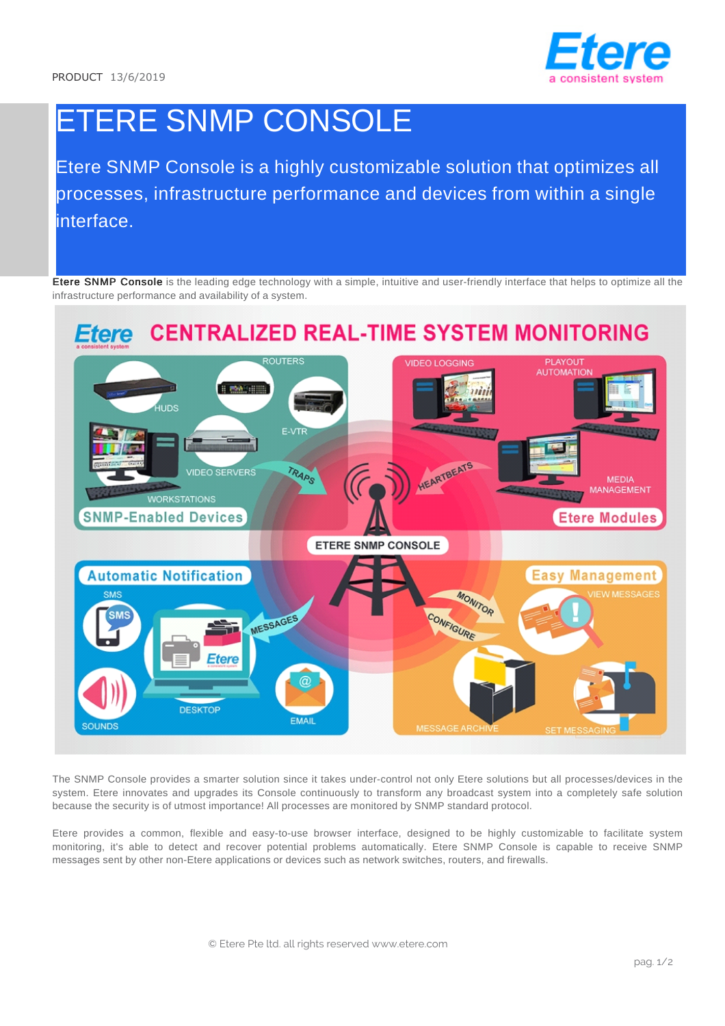

# ETERE SNMP CONSOLE

Etere SNMP Console is a highly customizable solution that optimizes all processes, infrastructure performance and devices from within a single interface.

Etere SNMP Console is the leading edge technology with a simple, intuitive and user-friendly interface that helps to optimize all the infrastructure performance and availability of a system.



The SNMP Console provides a smarter solution since it takes under-control not only Etere solutions but all processes/devices in the system. Etere innovates and upgrades its Console continuously to transform any broadcast system into a completely safe solution because the security is of utmost importance! All processes are monitored by SNMP standard protocol.

Etere provides a common, flexible and easy-to-use browser interface, designed to be highly customizable to facilitate system monitoring, it's able to detect and recover potential problems automatically. Etere SNMP Console is capable to receive SNMP messages sent by other non-Etere applications or devices such as network switches, routers, and firewalls.